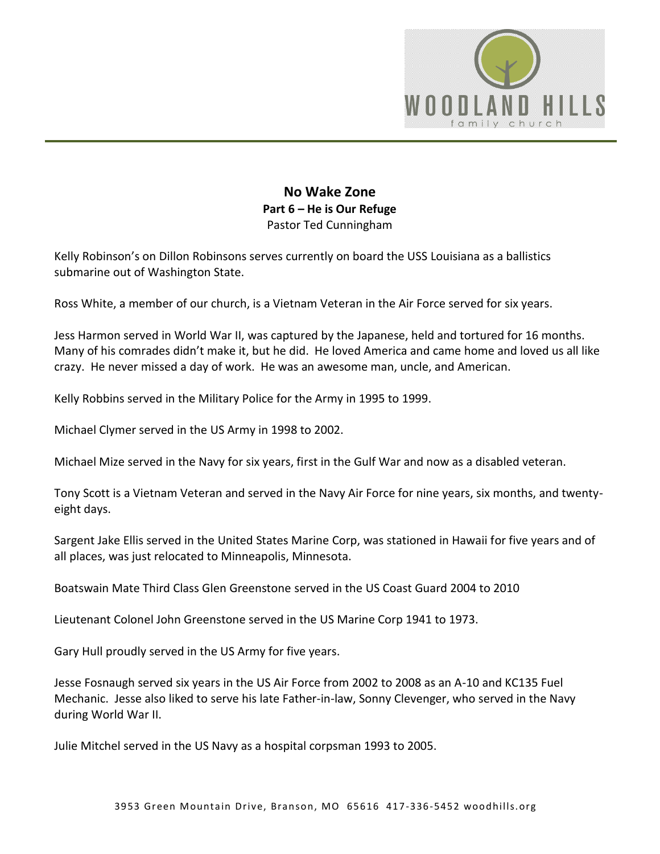

## **No Wake Zone Part 6 – He is Our Refuge**  Pastor Ted Cunningham

Kelly Robinson's on Dillon Robinsons serves currently on board the USS Louisiana as a ballistics submarine out of Washington State.

Ross White, a member of our church, is a Vietnam Veteran in the Air Force served for six years.

Jess Harmon served in World War II, was captured by the Japanese, held and tortured for 16 months. Many of his comrades didn't make it, but he did. He loved America and came home and loved us all like crazy. He never missed a day of work. He was an awesome man, uncle, and American.

Kelly Robbins served in the Military Police for the Army in 1995 to 1999.

Michael Clymer served in the US Army in 1998 to 2002.

Michael Mize served in the Navy for six years, first in the Gulf War and now as a disabled veteran.

Tony Scott is a Vietnam Veteran and served in the Navy Air Force for nine years, six months, and twentyeight days.

Sargent Jake Ellis served in the United States Marine Corp, was stationed in Hawaii for five years and of all places, was just relocated to Minneapolis, Minnesota.

Boatswain Mate Third Class Glen Greenstone served in the US Coast Guard 2004 to 2010

Lieutenant Colonel John Greenstone served in the US Marine Corp 1941 to 1973.

Gary Hull proudly served in the US Army for five years.

Jesse Fosnaugh served six years in the US Air Force from 2002 to 2008 as an A-10 and KC135 Fuel Mechanic. Jesse also liked to serve his late Father-in-law, Sonny Clevenger, who served in the Navy during World War II.

Julie Mitchel served in the US Navy as a hospital corpsman 1993 to 2005.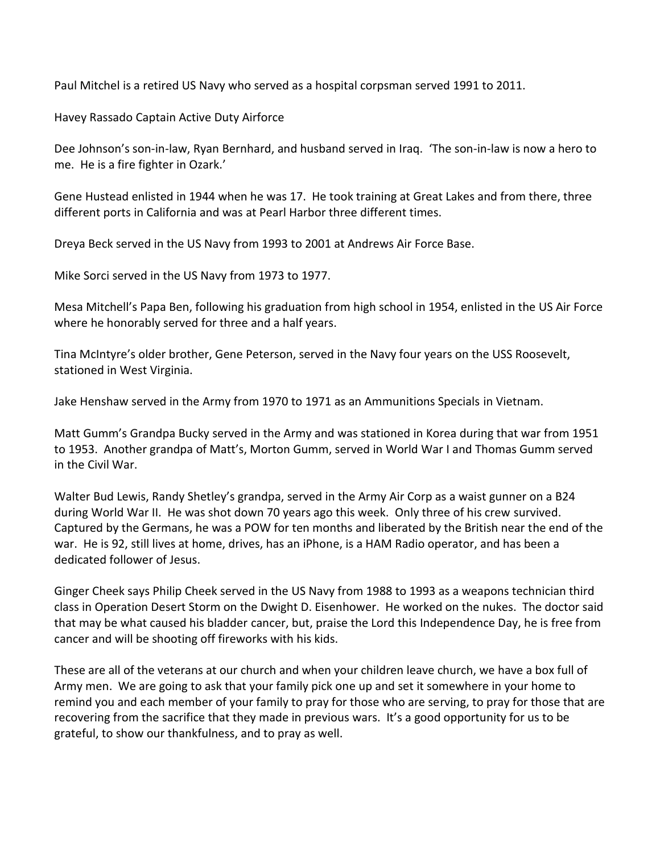Paul Mitchel is a retired US Navy who served as a hospital corpsman served 1991 to 2011.

Havey Rassado Captain Active Duty Airforce

Dee Johnson's son-in-law, Ryan Bernhard, and husband served in Iraq. 'The son-in-law is now a hero to me. He is a fire fighter in Ozark.'

Gene Hustead enlisted in 1944 when he was 17. He took training at Great Lakes and from there, three different ports in California and was at Pearl Harbor three different times.

Dreya Beck served in the US Navy from 1993 to 2001 at Andrews Air Force Base.

Mike Sorci served in the US Navy from 1973 to 1977.

Mesa Mitchell's Papa Ben, following his graduation from high school in 1954, enlisted in the US Air Force where he honorably served for three and a half years.

Tina McIntyre's older brother, Gene Peterson, served in the Navy four years on the USS Roosevelt, stationed in West Virginia.

Jake Henshaw served in the Army from 1970 to 1971 as an Ammunitions Specials in Vietnam.

Matt Gumm's Grandpa Bucky served in the Army and was stationed in Korea during that war from 1951 to 1953. Another grandpa of Matt's, Morton Gumm, served in World War I and Thomas Gumm served in the Civil War.

Walter Bud Lewis, Randy Shetley's grandpa, served in the Army Air Corp as a waist gunner on a B24 during World War II. He was shot down 70 years ago this week. Only three of his crew survived. Captured by the Germans, he was a POW for ten months and liberated by the British near the end of the war. He is 92, still lives at home, drives, has an iPhone, is a HAM Radio operator, and has been a dedicated follower of Jesus.

Ginger Cheek says Philip Cheek served in the US Navy from 1988 to 1993 as a weapons technician third class in Operation Desert Storm on the Dwight D. Eisenhower. He worked on the nukes. The doctor said that may be what caused his bladder cancer, but, praise the Lord this Independence Day, he is free from cancer and will be shooting off fireworks with his kids.

These are all of the veterans at our church and when your children leave church, we have a box full of Army men. We are going to ask that your family pick one up and set it somewhere in your home to remind you and each member of your family to pray for those who are serving, to pray for those that are recovering from the sacrifice that they made in previous wars. It's a good opportunity for us to be grateful, to show our thankfulness, and to pray as well.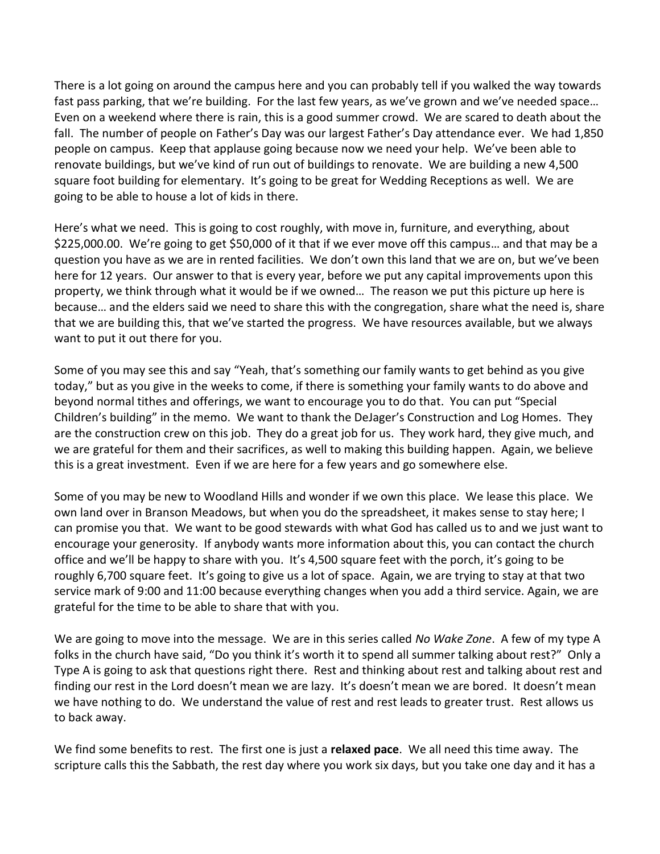There is a lot going on around the campus here and you can probably tell if you walked the way towards fast pass parking, that we're building. For the last few years, as we've grown and we've needed space… Even on a weekend where there is rain, this is a good summer crowd. We are scared to death about the fall. The number of people on Father's Day was our largest Father's Day attendance ever. We had 1,850 people on campus. Keep that applause going because now we need your help. We've been able to renovate buildings, but we've kind of run out of buildings to renovate. We are building a new 4,500 square foot building for elementary. It's going to be great for Wedding Receptions as well. We are going to be able to house a lot of kids in there.

Here's what we need. This is going to cost roughly, with move in, furniture, and everything, about \$225,000.00. We're going to get \$50,000 of it that if we ever move off this campus… and that may be a question you have as we are in rented facilities. We don't own this land that we are on, but we've been here for 12 years. Our answer to that is every year, before we put any capital improvements upon this property, we think through what it would be if we owned… The reason we put this picture up here is because… and the elders said we need to share this with the congregation, share what the need is, share that we are building this, that we've started the progress. We have resources available, but we always want to put it out there for you.

Some of you may see this and say "Yeah, that's something our family wants to get behind as you give today," but as you give in the weeks to come, if there is something your family wants to do above and beyond normal tithes and offerings, we want to encourage you to do that. You can put "Special Children's building" in the memo. We want to thank the DeJager's Construction and Log Homes. They are the construction crew on this job. They do a great job for us. They work hard, they give much, and we are grateful for them and their sacrifices, as well to making this building happen. Again, we believe this is a great investment. Even if we are here for a few years and go somewhere else.

Some of you may be new to Woodland Hills and wonder if we own this place. We lease this place. We own land over in Branson Meadows, but when you do the spreadsheet, it makes sense to stay here; I can promise you that. We want to be good stewards with what God has called us to and we just want to encourage your generosity. If anybody wants more information about this, you can contact the church office and we'll be happy to share with you. It's 4,500 square feet with the porch, it's going to be roughly 6,700 square feet. It's going to give us a lot of space. Again, we are trying to stay at that two service mark of 9:00 and 11:00 because everything changes when you add a third service. Again, we are grateful for the time to be able to share that with you.

We are going to move into the message. We are in this series called *No Wake Zone*. A few of my type A folks in the church have said, "Do you think it's worth it to spend all summer talking about rest?" Only a Type A is going to ask that questions right there. Rest and thinking about rest and talking about rest and finding our rest in the Lord doesn't mean we are lazy. It's doesn't mean we are bored. It doesn't mean we have nothing to do. We understand the value of rest and rest leads to greater trust. Rest allows us to back away.

We find some benefits to rest. The first one is just a **relaxed pace**. We all need this time away. The scripture calls this the Sabbath, the rest day where you work six days, but you take one day and it has a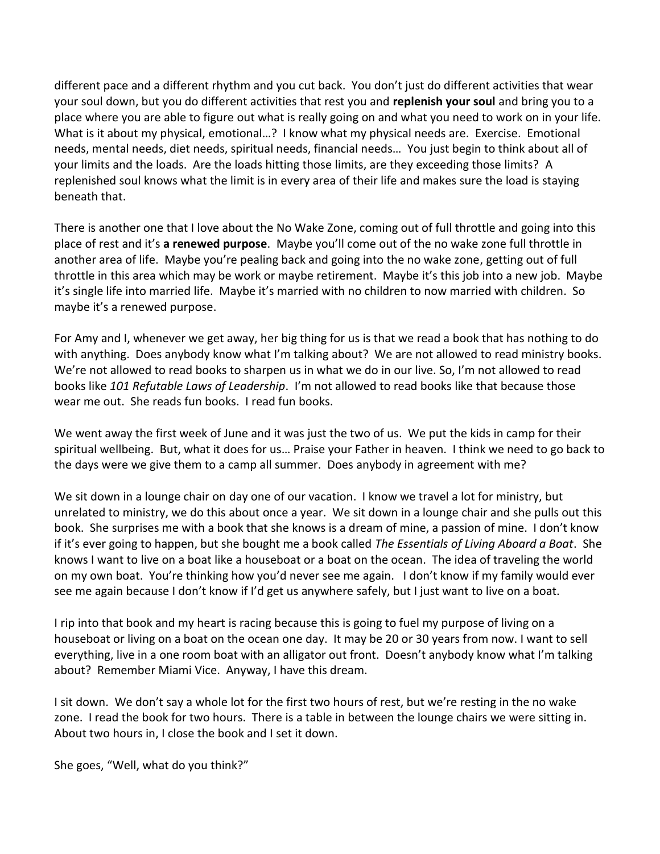different pace and a different rhythm and you cut back. You don't just do different activities that wear your soul down, but you do different activities that rest you and **replenish your soul** and bring you to a place where you are able to figure out what is really going on and what you need to work on in your life. What is it about my physical, emotional…? I know what my physical needs are. Exercise. Emotional needs, mental needs, diet needs, spiritual needs, financial needs… You just begin to think about all of your limits and the loads. Are the loads hitting those limits, are they exceeding those limits? A replenished soul knows what the limit is in every area of their life and makes sure the load is staying beneath that.

There is another one that I love about the No Wake Zone, coming out of full throttle and going into this place of rest and it's **a renewed purpose**. Maybe you'll come out of the no wake zone full throttle in another area of life. Maybe you're pealing back and going into the no wake zone, getting out of full throttle in this area which may be work or maybe retirement. Maybe it's this job into a new job. Maybe it's single life into married life. Maybe it's married with no children to now married with children. So maybe it's a renewed purpose.

For Amy and I, whenever we get away, her big thing for us is that we read a book that has nothing to do with anything. Does anybody know what I'm talking about? We are not allowed to read ministry books. We're not allowed to read books to sharpen us in what we do in our live. So, I'm not allowed to read books like *101 Refutable Laws of Leadership*. I'm not allowed to read books like that because those wear me out. She reads fun books. I read fun books.

We went away the first week of June and it was just the two of us. We put the kids in camp for their spiritual wellbeing. But, what it does for us… Praise your Father in heaven. I think we need to go back to the days were we give them to a camp all summer. Does anybody in agreement with me?

We sit down in a lounge chair on day one of our vacation. I know we travel a lot for ministry, but unrelated to ministry, we do this about once a year. We sit down in a lounge chair and she pulls out this book. She surprises me with a book that she knows is a dream of mine, a passion of mine. I don't know if it's ever going to happen, but she bought me a book called *The Essentials of Living Aboard a Boat*. She knows I want to live on a boat like a houseboat or a boat on the ocean. The idea of traveling the world on my own boat. You're thinking how you'd never see me again. I don't know if my family would ever see me again because I don't know if I'd get us anywhere safely, but I just want to live on a boat.

I rip into that book and my heart is racing because this is going to fuel my purpose of living on a houseboat or living on a boat on the ocean one day. It may be 20 or 30 years from now. I want to sell everything, live in a one room boat with an alligator out front. Doesn't anybody know what I'm talking about? Remember Miami Vice. Anyway, I have this dream.

I sit down. We don't say a whole lot for the first two hours of rest, but we're resting in the no wake zone. I read the book for two hours. There is a table in between the lounge chairs we were sitting in. About two hours in, I close the book and I set it down.

She goes, "Well, what do you think?"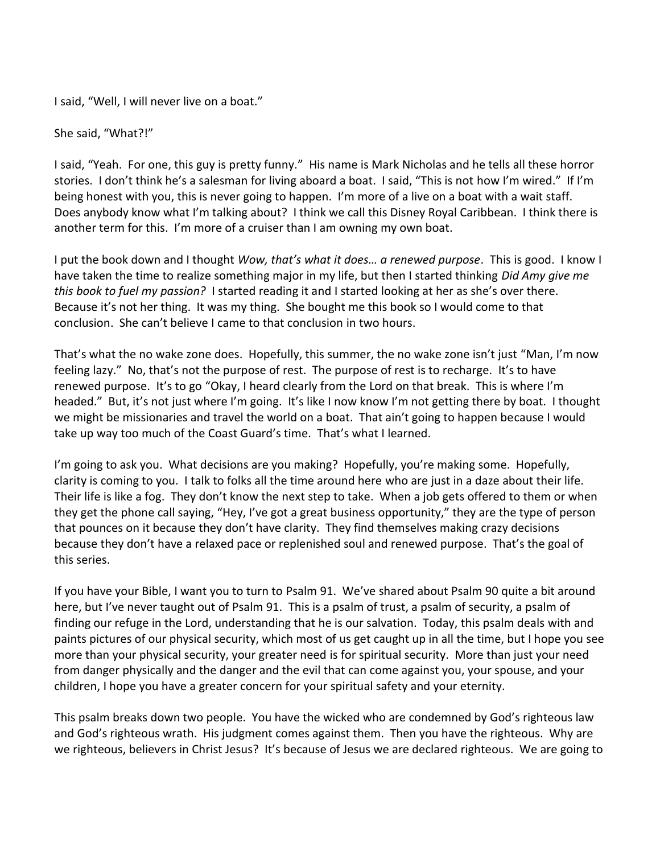I said, "Well, I will never live on a boat."

She said, "What?!"

I said, "Yeah. For one, this guy is pretty funny." His name is Mark Nicholas and he tells all these horror stories. I don't think he's a salesman for living aboard a boat. I said, "This is not how I'm wired." If I'm being honest with you, this is never going to happen. I'm more of a live on a boat with a wait staff. Does anybody know what I'm talking about? I think we call this Disney Royal Caribbean. I think there is another term for this. I'm more of a cruiser than I am owning my own boat.

I put the book down and I thought *Wow, that's what it does… a renewed purpose*. This is good. I know I have taken the time to realize something major in my life, but then I started thinking *Did Amy give me this book to fuel my passion?* I started reading it and I started looking at her as she's over there. Because it's not her thing. It was my thing. She bought me this book so I would come to that conclusion. She can't believe I came to that conclusion in two hours.

That's what the no wake zone does. Hopefully, this summer, the no wake zone isn't just "Man, I'm now feeling lazy." No, that's not the purpose of rest. The purpose of rest is to recharge. It's to have renewed purpose. It's to go "Okay, I heard clearly from the Lord on that break. This is where I'm headed." But, it's not just where I'm going. It's like I now know I'm not getting there by boat. I thought we might be missionaries and travel the world on a boat. That ain't going to happen because I would take up way too much of the Coast Guard's time. That's what I learned.

I'm going to ask you. What decisions are you making? Hopefully, you're making some. Hopefully, clarity is coming to you. I talk to folks all the time around here who are just in a daze about their life. Their life is like a fog. They don't know the next step to take. When a job gets offered to them or when they get the phone call saying, "Hey, I've got a great business opportunity," they are the type of person that pounces on it because they don't have clarity. They find themselves making crazy decisions because they don't have a relaxed pace or replenished soul and renewed purpose. That's the goal of this series.

If you have your Bible, I want you to turn to Psalm 91. We've shared about Psalm 90 quite a bit around here, but I've never taught out of Psalm 91. This is a psalm of trust, a psalm of security, a psalm of finding our refuge in the Lord, understanding that he is our salvation. Today, this psalm deals with and paints pictures of our physical security, which most of us get caught up in all the time, but I hope you see more than your physical security, your greater need is for spiritual security. More than just your need from danger physically and the danger and the evil that can come against you, your spouse, and your children, I hope you have a greater concern for your spiritual safety and your eternity.

This psalm breaks down two people. You have the wicked who are condemned by God's righteous law and God's righteous wrath. His judgment comes against them. Then you have the righteous. Why are we righteous, believers in Christ Jesus? It's because of Jesus we are declared righteous. We are going to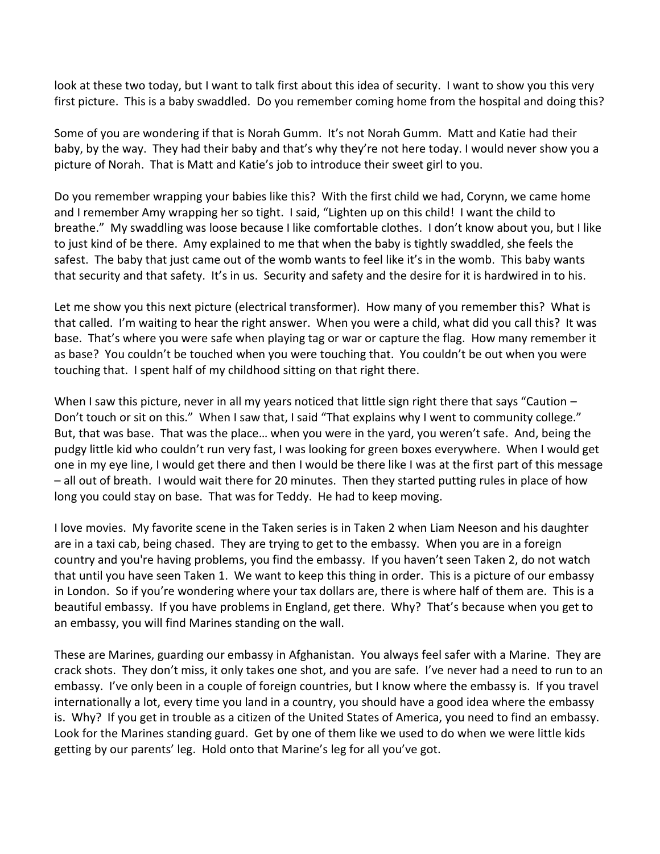look at these two today, but I want to talk first about this idea of security. I want to show you this very first picture. This is a baby swaddled. Do you remember coming home from the hospital and doing this?

Some of you are wondering if that is Norah Gumm. It's not Norah Gumm. Matt and Katie had their baby, by the way. They had their baby and that's why they're not here today. I would never show you a picture of Norah. That is Matt and Katie's job to introduce their sweet girl to you.

Do you remember wrapping your babies like this? With the first child we had, Corynn, we came home and I remember Amy wrapping her so tight. I said, "Lighten up on this child! I want the child to breathe." My swaddling was loose because I like comfortable clothes. I don't know about you, but I like to just kind of be there. Amy explained to me that when the baby is tightly swaddled, she feels the safest. The baby that just came out of the womb wants to feel like it's in the womb. This baby wants that security and that safety. It's in us. Security and safety and the desire for it is hardwired in to his.

Let me show you this next picture (electrical transformer). How many of you remember this? What is that called. I'm waiting to hear the right answer. When you were a child, what did you call this? It was base. That's where you were safe when playing tag or war or capture the flag. How many remember it as base? You couldn't be touched when you were touching that. You couldn't be out when you were touching that. I spent half of my childhood sitting on that right there.

When I saw this picture, never in all my years noticed that little sign right there that says "Caution – Don't touch or sit on this." When I saw that, I said "That explains why I went to community college." But, that was base. That was the place… when you were in the yard, you weren't safe. And, being the pudgy little kid who couldn't run very fast, I was looking for green boxes everywhere. When I would get one in my eye line, I would get there and then I would be there like I was at the first part of this message – all out of breath. I would wait there for 20 minutes. Then they started putting rules in place of how long you could stay on base. That was for Teddy. He had to keep moving.

I love movies. My favorite scene in the Taken series is in Taken 2 when Liam Neeson and his daughter are in a taxi cab, being chased. They are trying to get to the embassy. When you are in a foreign country and you're having problems, you find the embassy. If you haven't seen Taken 2, do not watch that until you have seen Taken 1. We want to keep this thing in order. This is a picture of our embassy in London. So if you're wondering where your tax dollars are, there is where half of them are. This is a beautiful embassy. If you have problems in England, get there. Why? That's because when you get to an embassy, you will find Marines standing on the wall.

These are Marines, guarding our embassy in Afghanistan. You always feel safer with a Marine. They are crack shots. They don't miss, it only takes one shot, and you are safe. I've never had a need to run to an embassy. I've only been in a couple of foreign countries, but I know where the embassy is. If you travel internationally a lot, every time you land in a country, you should have a good idea where the embassy is. Why? If you get in trouble as a citizen of the United States of America, you need to find an embassy. Look for the Marines standing guard. Get by one of them like we used to do when we were little kids getting by our parents' leg. Hold onto that Marine's leg for all you've got.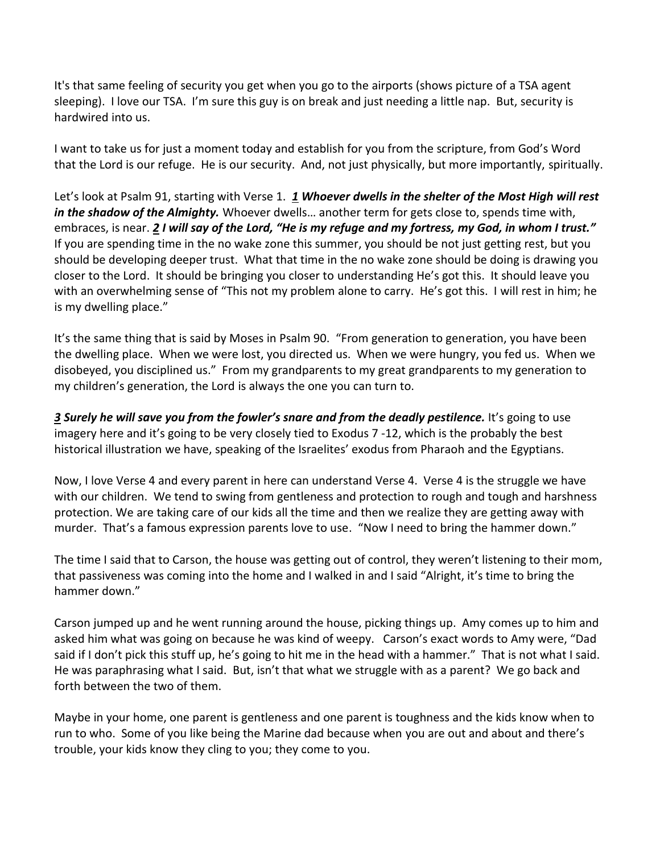It's that same feeling of security you get when you go to the airports (shows picture of a TSA agent sleeping). I love our TSA. I'm sure this guy is on break and just needing a little nap. But, security is hardwired into us.

I want to take us for just a moment today and establish for you from the scripture, from God's Word that the Lord is our refuge. He is our security. And, not just physically, but more importantly, spiritually.

Let's look at Psalm 91, starting with Verse 1. *[1](http://www.studylight.org/desk/?q=ps%2091:1&t1=en_niv&sr=1) Whoever dwells in the shelter of the Most High will rest in the shadow of the Almighty.* Whoever dwells… another term for gets close to, spends time with, embraces, is near. *[2](http://www.studylight.org/desk/?q=ps%2091:2&t1=en_niv&sr=1) I will say of the Lord, "He is my refuge and my fortress, my God, in whom I trust."* If you are spending time in the no wake zone this summer, you should be not just getting rest, but you should be developing deeper trust. What that time in the no wake zone should be doing is drawing you closer to the Lord. It should be bringing you closer to understanding He's got this. It should leave you with an overwhelming sense of "This not my problem alone to carry. He's got this. I will rest in him; he is my dwelling place."

It's the same thing that is said by Moses in Psalm 90. "From generation to generation, you have been the dwelling place. When we were lost, you directed us. When we were hungry, you fed us. When we disobeyed, you disciplined us." From my grandparents to my great grandparents to my generation to my children's generation, the Lord is always the one you can turn to.

*[3](http://www.studylight.org/desk/?q=ps%2091:3&t1=en_niv&sr=1) Surely he will save you from the fowler's snare and from the deadly pestilence.* It's going to use imagery here and it's going to be very closely tied to Exodus 7 -12, which is the probably the best historical illustration we have, speaking of the Israelites' exodus from Pharaoh and the Egyptians.

Now, I love Verse 4 and every parent in here can understand Verse 4. Verse 4 is the struggle we have with our children. We tend to swing from gentleness and protection to rough and tough and harshness protection. We are taking care of our kids all the time and then we realize they are getting away with murder. That's a famous expression parents love to use. "Now I need to bring the hammer down."

The time I said that to Carson, the house was getting out of control, they weren't listening to their mom, that passiveness was coming into the home and I walked in and I said "Alright, it's time to bring the hammer down."

Carson jumped up and he went running around the house, picking things up. Amy comes up to him and asked him what was going on because he was kind of weepy. Carson's exact words to Amy were, "Dad said if I don't pick this stuff up, he's going to hit me in the head with a hammer." That is not what I said. He was paraphrasing what I said. But, isn't that what we struggle with as a parent? We go back and forth between the two of them.

Maybe in your home, one parent is gentleness and one parent is toughness and the kids know when to run to who. Some of you like being the Marine dad because when you are out and about and there's trouble, your kids know they cling to you; they come to you.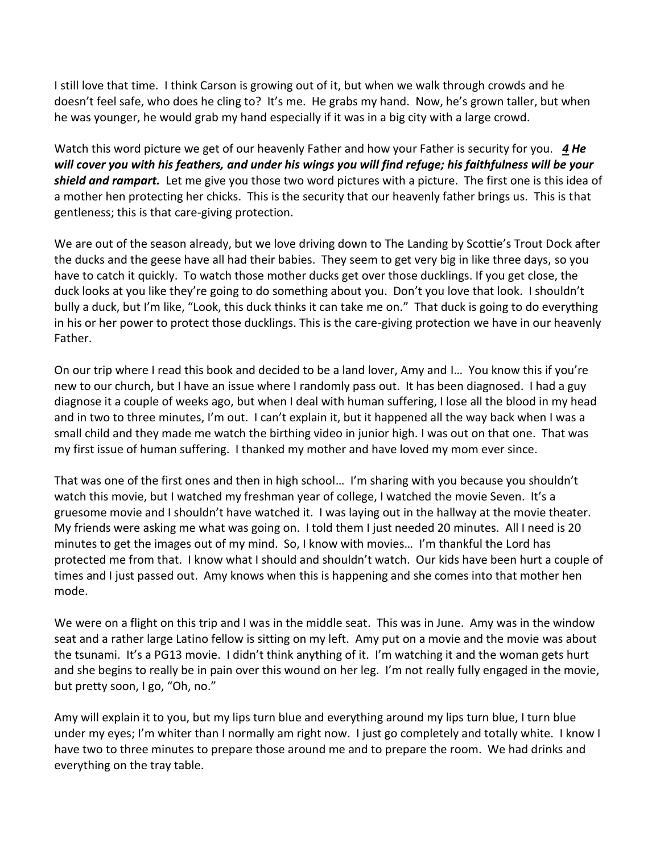I still love that time. I think Carson is growing out of it, but when we walk through crowds and he doesn't feel safe, who does he cling to? It's me. He grabs my hand. Now, he's grown taller, but when he was younger, he would grab my hand especially if it was in a big city with a large crowd.

Watch this word picture we get of our heavenly Father and how your Father is security for you. *[4](http://www.studylight.org/desk/?q=ps%2091:4&t1=en_niv&sr=1) He will cover you with his feathers, and under his wings you will find refuge; his faithfulness will be your shield and rampart.* Let me give you those two word pictures with a picture. The first one is this idea of a mother hen protecting her chicks. This is the security that our heavenly father brings us. This is that gentleness; this is that care-giving protection.

We are out of the season already, but we love driving down to The Landing by Scottie's Trout Dock after the ducks and the geese have all had their babies. They seem to get very big in like three days, so you have to catch it quickly. To watch those mother ducks get over those ducklings. If you get close, the duck looks at you like they're going to do something about you. Don't you love that look. I shouldn't bully a duck, but I'm like, "Look, this duck thinks it can take me on." That duck is going to do everything in his or her power to protect those ducklings. This is the care-giving protection we have in our heavenly Father.

On our trip where I read this book and decided to be a land lover, Amy and I… You know this if you're new to our church, but I have an issue where I randomly pass out. It has been diagnosed. I had a guy diagnose it a couple of weeks ago, but when I deal with human suffering, I lose all the blood in my head and in two to three minutes, I'm out. I can't explain it, but it happened all the way back when I was a small child and they made me watch the birthing video in junior high. I was out on that one. That was my first issue of human suffering. I thanked my mother and have loved my mom ever since.

That was one of the first ones and then in high school… I'm sharing with you because you shouldn't watch this movie, but I watched my freshman year of college, I watched the movie Seven. It's a gruesome movie and I shouldn't have watched it. I was laying out in the hallway at the movie theater. My friends were asking me what was going on. I told them I just needed 20 minutes. All I need is 20 minutes to get the images out of my mind. So, I know with movies… I'm thankful the Lord has protected me from that. I know what I should and shouldn't watch. Our kids have been hurt a couple of times and I just passed out. Amy knows when this is happening and she comes into that mother hen mode.

We were on a flight on this trip and I was in the middle seat. This was in June. Amy was in the window seat and a rather large Latino fellow is sitting on my left. Amy put on a movie and the movie was about the tsunami. It's a PG13 movie. I didn't think anything of it. I'm watching it and the woman gets hurt and she begins to really be in pain over this wound on her leg. I'm not really fully engaged in the movie, but pretty soon, I go, "Oh, no."

Amy will explain it to you, but my lips turn blue and everything around my lips turn blue, I turn blue under my eyes; I'm whiter than I normally am right now. I just go completely and totally white. I know I have two to three minutes to prepare those around me and to prepare the room. We had drinks and everything on the tray table.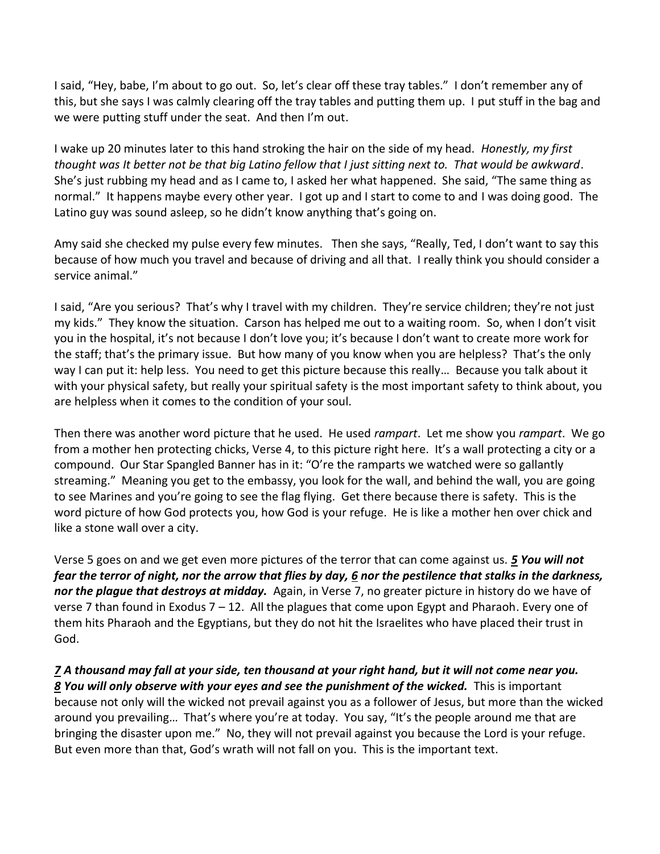I said, "Hey, babe, I'm about to go out. So, let's clear off these tray tables." I don't remember any of this, but she says I was calmly clearing off the tray tables and putting them up. I put stuff in the bag and we were putting stuff under the seat. And then I'm out.

I wake up 20 minutes later to this hand stroking the hair on the side of my head. *Honestly, my first thought was It better not be that big Latino fellow that I just sitting next to. That would be awkward*. She's just rubbing my head and as I came to, I asked her what happened. She said, "The same thing as normal." It happens maybe every other year. I got up and I start to come to and I was doing good. The Latino guy was sound asleep, so he didn't know anything that's going on.

Amy said she checked my pulse every few minutes. Then she says, "Really, Ted, I don't want to say this because of how much you travel and because of driving and all that. I really think you should consider a service animal."

I said, "Are you serious? That's why I travel with my children. They're service children; they're not just my kids." They know the situation. Carson has helped me out to a waiting room. So, when I don't visit you in the hospital, it's not because I don't love you; it's because I don't want to create more work for the staff; that's the primary issue. But how many of you know when you are helpless? That's the only way I can put it: help less. You need to get this picture because this really… Because you talk about it with your physical safety, but really your spiritual safety is the most important safety to think about, you are helpless when it comes to the condition of your soul.

Then there was another word picture that he used. He used *rampart*. Let me show you *rampart*. We go from a mother hen protecting chicks, Verse 4, to this picture right here. It's a wall protecting a city or a compound. Our Star Spangled Banner has in it: "O're the ramparts we watched were so gallantly streaming." Meaning you get to the embassy, you look for the wall, and behind the wall, you are going to see Marines and you're going to see the flag flying. Get there because there is safety. This is the word picture of how God protects you, how God is your refuge. He is like a mother hen over chick and like a stone wall over a city.

Verse 5 goes on and we get even more pictures of the terror that can come against us. *[5](http://www.studylight.org/desk/?q=ps%2091:5&t1=en_niv&sr=1) You will not fear the terror of night, nor the arrow that flies by day, [6](http://www.studylight.org/desk/?q=ps%2091:6&t1=en_niv&sr=1) nor the pestilence that stalks in the darkness, nor the plague that destroys at midday.* Again, in Verse 7, no greater picture in history do we have of verse 7 than found in Exodus  $7 - 12$ . All the plagues that come upon Egypt and Pharaoh. Every one of them hits Pharaoh and the Egyptians, but they do not hit the Israelites who have placed their trust in God.

*[7](http://www.studylight.org/desk/?q=ps%2091:7&t1=en_niv&sr=1) A thousand may fall at your side, ten thousand at your right hand, but it will not come near you. [8](http://www.studylight.org/desk/?q=ps%2091:8&t1=en_niv&sr=1) You will only observe with your eyes and see the punishment of the wicked.* This is important because not only will the wicked not prevail against you as a follower of Jesus, but more than the wicked around you prevailing… That's where you're at today. You say, "It's the people around me that are bringing the disaster upon me." No, they will not prevail against you because the Lord is your refuge. But even more than that, God's wrath will not fall on you. This is the important text.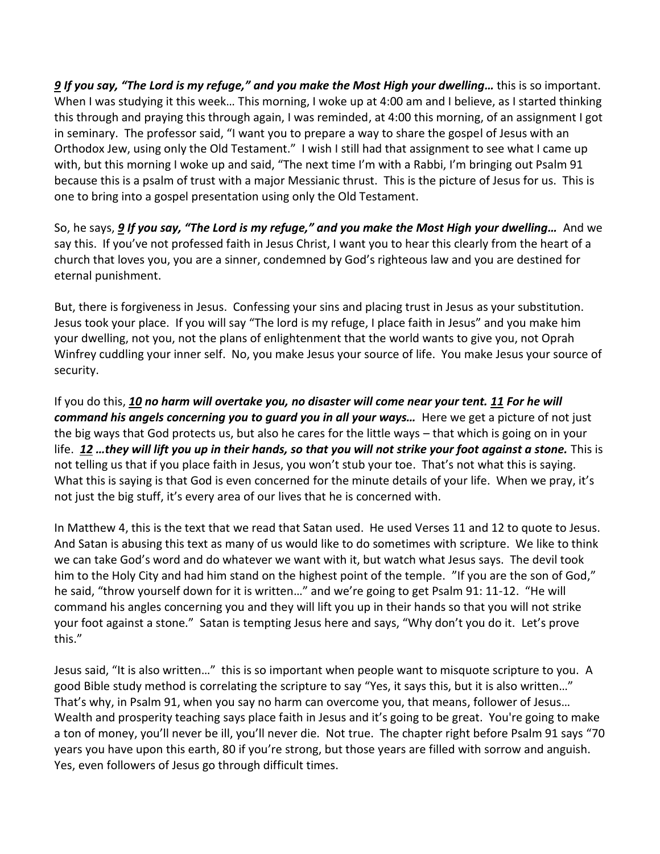*[9](http://www.studylight.org/desk/?q=ps%2091:9&t1=en_niv&sr=1) If you say, "The Lord is my refuge," and you make the Most High your dwelling…* this is so important. When I was studying it this week... This morning, I woke up at 4:00 am and I believe, as I started thinking this through and praying this through again, I was reminded, at 4:00 this morning, of an assignment I got in seminary. The professor said, "I want you to prepare a way to share the gospel of Jesus with an Orthodox Jew, using only the Old Testament." I wish I still had that assignment to see what I came up with, but this morning I woke up and said, "The next time I'm with a Rabbi, I'm bringing out Psalm 91 because this is a psalm of trust with a major Messianic thrust. This is the picture of Jesus for us. This is one to bring into a gospel presentation using only the Old Testament.

So, he says, *[9](http://www.studylight.org/desk/?q=ps%2091:9&t1=en_niv&sr=1) If you say, "The Lord is my refuge," and you make the Most High your dwelling…* And we say this. If you've not professed faith in Jesus Christ, I want you to hear this clearly from the heart of a church that loves you, you are a sinner, condemned by God's righteous law and you are destined for eternal punishment.

But, there is forgiveness in Jesus. Confessing your sins and placing trust in Jesus as your substitution. Jesus took your place. If you will say "The lord is my refuge, I place faith in Jesus" and you make him your dwelling, not you, not the plans of enlightenment that the world wants to give you, not Oprah Winfrey cuddling your inner self. No, you make Jesus your source of life. You make Jesus your source of security.

If you do this, *[10](http://www.studylight.org/desk/?q=ps%2091:10&t1=en_niv&sr=1) no harm will overtake you, no disaster will come near your tent. [11](http://www.studylight.org/desk/?q=ps%2091:11&t1=en_niv&sr=1) For he will command his angels concerning you to guard you in all your ways…* Here we get a picture of not just the big ways that God protects us, but also he cares for the little ways – that which is going on in your life. *[12](http://www.studylight.org/desk/?q=ps%2091:12&t1=en_niv&sr=1) …they will lift you up in their hands, so that you will not strike your foot against a stone.* This is not telling us that if you place faith in Jesus, you won't stub your toe. That's not what this is saying. What this is saying is that God is even concerned for the minute details of your life. When we pray, it's not just the big stuff, it's every area of our lives that he is concerned with.

In Matthew 4, this is the text that we read that Satan used. He used Verses 11 and 12 to quote to Jesus. And Satan is abusing this text as many of us would like to do sometimes with scripture. We like to think we can take God's word and do whatever we want with it, but watch what Jesus says. The devil took him to the Holy City and had him stand on the highest point of the temple. "If you are the son of God," he said, "throw yourself down for it is written…" and we're going to get Psalm 91: 11-12. "He will command his angles concerning you and they will lift you up in their hands so that you will not strike your foot against a stone." Satan is tempting Jesus here and says, "Why don't you do it. Let's prove this."

Jesus said, "It is also written…" this is so important when people want to misquote scripture to you. A good Bible study method is correlating the scripture to say "Yes, it says this, but it is also written…" That's why, in Psalm 91, when you say no harm can overcome you, that means, follower of Jesus… Wealth and prosperity teaching says place faith in Jesus and it's going to be great. You're going to make a ton of money, you'll never be ill, you'll never die. Not true. The chapter right before Psalm 91 says "70 years you have upon this earth, 80 if you're strong, but those years are filled with sorrow and anguish. Yes, even followers of Jesus go through difficult times.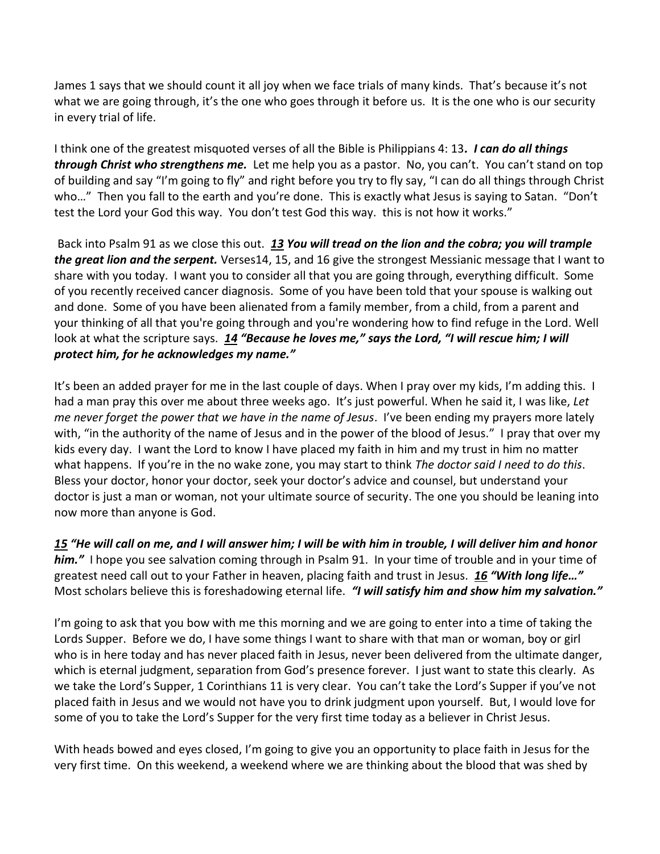James 1 says that we should count it all joy when we face trials of many kinds. That's because it's not what we are going through, it's the one who goes through it before us. It is the one who is our security in every trial of life.

I think one of the greatest misquoted verses of all the Bible is Philippians 4: 13*. I can do all things through Christ who strengthens me.* Let me help you as a pastor. No, you can't. You can't stand on top of building and say "I'm going to fly" and right before you try to fly say, "I can do all things through Christ who..." Then you fall to the earth and you're done. This is exactly what Jesus is saying to Satan. "Don't test the Lord your God this way. You don't test God this way. this is not how it works."

Back into Psalm 91 as we close this out. *[13](http://www.studylight.org/desk/?q=ps%2091:13&t1=en_niv&sr=1) You will tread on the lion and the cobra; you will trample the great lion and the serpent.* Verses14, 15, and 16 give the strongest Messianic message that I want to share with you today. I want you to consider all that you are going through, everything difficult. Some of you recently received cancer diagnosis. Some of you have been told that your spouse is walking out and done. Some of you have been alienated from a family member, from a child, from a parent and your thinking of all that you're going through and you're wondering how to find refuge in the Lord. Well look at what the scripture says. *[14](http://www.studylight.org/desk/?q=ps%2091:14&t1=en_niv&sr=1) "Because he loves me," says the Lord, "I will rescue him; I will protect him, for he acknowledges my name."*

It's been an added prayer for me in the last couple of days. When I pray over my kids, I'm adding this. I had a man pray this over me about three weeks ago. It's just powerful. When he said it, I was like, *Let me never forget the power that we have in the name of Jesus*. I've been ending my prayers more lately with, "in the authority of the name of Jesus and in the power of the blood of Jesus." I pray that over my kids every day. I want the Lord to know I have placed my faith in him and my trust in him no matter what happens. If you're in the no wake zone, you may start to think *The doctor said I need to do this*. Bless your doctor, honor your doctor, seek your doctor's advice and counsel, but understand your doctor is just a man or woman, not your ultimate source of security. The one you should be leaning into now more than anyone is God.

*[15](http://www.studylight.org/desk/?q=ps%2091:15&t1=en_niv&sr=1) "He will call on me, and I will answer him; I will be with him in trouble, I will deliver him and honor him."* I hope you see salvation coming through in Psalm 91. In your time of trouble and in your time of greatest need call out to your Father in heaven, placing faith and trust in Jesus. *[16](http://www.studylight.org/desk/?q=ps%2091:16&t1=en_niv&sr=1) "With long life…"* Most scholars believe this is foreshadowing eternal life. *"I will satisfy him and show him my salvation."*

I'm going to ask that you bow with me this morning and we are going to enter into a time of taking the Lords Supper. Before we do, I have some things I want to share with that man or woman, boy or girl who is in here today and has never placed faith in Jesus, never been delivered from the ultimate danger, which is eternal judgment, separation from God's presence forever. I just want to state this clearly. As we take the Lord's Supper, 1 Corinthians 11 is very clear. You can't take the Lord's Supper if you've not placed faith in Jesus and we would not have you to drink judgment upon yourself. But, I would love for some of you to take the Lord's Supper for the very first time today as a believer in Christ Jesus.

With heads bowed and eyes closed, I'm going to give you an opportunity to place faith in Jesus for the very first time. On this weekend, a weekend where we are thinking about the blood that was shed by